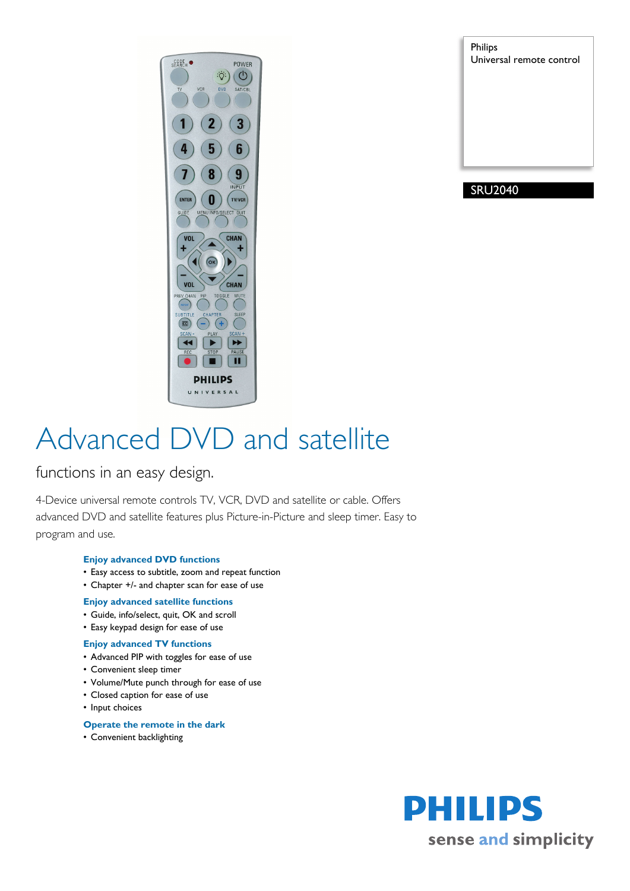

Philips Universal remote control

# SRU2040

# Advanced DVD and satellite

functions in an easy design.

4-Device universal remote controls TV, VCR, DVD and satellite or cable. Offers advanced DVD and satellite features plus Picture-in-Picture and sleep timer. Easy to program and use.

# **Enjoy advanced DVD functions**

- Easy access to subtitle, zoom and repeat function
- Chapter +/- and chapter scan for ease of use

# **Enjoy advanced satellite functions**

- Guide, info/select, quit, OK and scroll
- Easy keypad design for ease of use

# **Enjoy advanced TV functions**

- Advanced PIP with toggles for ease of use
- Convenient sleep timer
- Volume/Mute punch through for ease of use
- Closed caption for ease of use
- Input choices

# **Operate the remote in the dark**

• Convenient backlighting